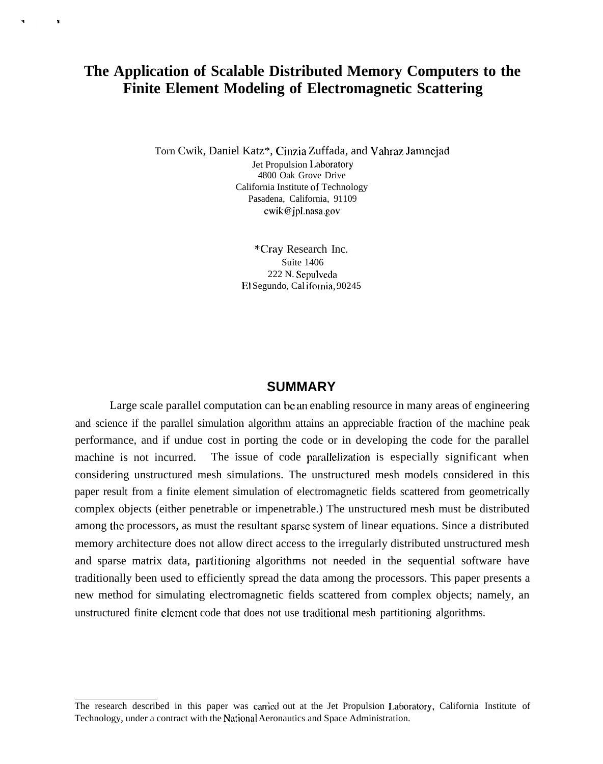# **The Application of Scalable Distributed Memory Computers to the Finite Element Modeling of Electromagnetic Scattering**

Torn Cwik, Daniel Katz\*, Cinzia Zuffada, and Vahraz Jamnejad Jet Propulsion 1,aboratory 4800 Oak Grove Drive California Institute of Technology Pasadena, California, 91109 cwik@jpl.nasa,gov

> \*Cray Research Inc. Suite 1406 222 N. Sepulveda El Segundo, Cal ifornia, 90245

# **SUMMARY**

Large scale parallel computation can be an enabling resource in many areas of engineering and science if the parallel simulation algorithm attains an appreciable fraction of the machine peak performance, and if undue cost in porting the code or in developing the code for the parallel machine is not incurred. The issue of code parallelization is especially significant when considering unstructured mesh simulations. The unstructured mesh models considered in this paper result from a finite element simulation of electromagnetic fields scattered from geometrically complex objects (either penetrable or impenetrable.) The unstructured mesh must be distributed among the processors, as must the resultant sparse system of linear equations. Since a distributed memory architecture does not allow direct access to the irregularly distributed unstructured mesh and sparse matrix data, partitioning algorithms not needed in the sequential software have traditionally been used to efficiently spread the data among the processors. This paper presents a new method for simulating electromagnetic fields scattered from complex objects; namely, an unstructured finite element code that does not use traditional mesh partitioning algorithms.

The research described in this paper was carried out at the Jet Propulsion Laboratory, California Institute of Technology, under a contract with the Nationai Aeronautics and Space Administration.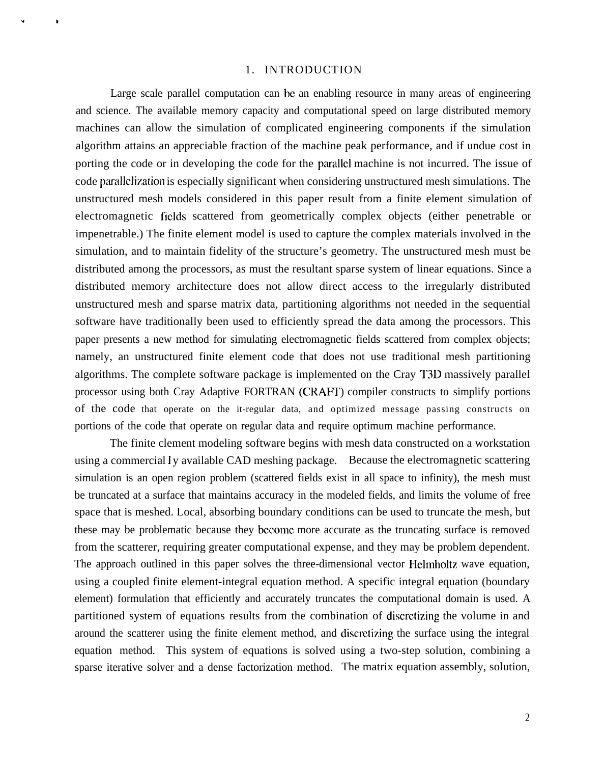# 1. INTRODUCTION

Large scale parallel computation can bc an enabling resource in many areas of engineering and science. The available memory capacity and computational speed on large distributed memory machines can allow the simulation of complicated engineering components if the simulation algorithm attains an appreciable fraction of the machine peak performance, and if undue cost in porting the code or in developing the code for the pardlc] machine is not incurred. The issue of code parallclization is especially significant when considering unstructured mesh simulations. The unstructured mesh models considered in this paper result from a finite element simulation of electromagnetic fields scattered from geometrically complex objects (either penetrable or impenetrable.) The finite element model is used to capture the complex materials involved in the simulation, and to maintain fidelity of the structure's geometry. The unstructured mesh must be distributed among the processors, as must the resultant sparse system of linear equations. Since a distributed memory architecture does not allow direct access to the irregularly distributed unstructured mesh and sparse matrix data, partitioning algorithms not needed in the sequential software have traditionally been used to efficiently spread the data among the processors. This paper presents a new method for simulating electromagnetic fields scattered from complex objects; namely, an unstructured finite element code that does not use traditional mesh partitioning algorithms. The complete software package is implemented on the Cray T3D massively parallel processor using both Cray Adaptive FORTRAN (CRAFT) compiler constructs to simplify portions of the code that operate on the it-regular data, and optimized message passing constructs on portions of the code that operate on regular data and require optimum machine performance.

The finite clement modeling software begins with mesh data constructed on a workstation using a commercial I y available CAD meshing package. Because the electromagnetic scattering simulation is an open region problem (scattered fields exist in all space to infinity), the mesh must be truncated at a surface that maintains accuracy in the modeled fields, and limits the volume of free space that is meshed. Local, absorbing boundary conditions can be used to truncate the mesh, but these may be problematic because they bccomc more accurate as the truncating surface is removed from the scatterer, requiring greater computational expense, and they may be problem dependent. The approach outlined in this paper solves the three-dimensional vector Hclmholtz wave equation, using a coupled finite element-integral equation method. A specific integral equation (boundary element) formulation that efficiently and accurately truncates the computational domain is used. A partitioned system of equations results from the combination of discretizing the volume in and around the scatterer using the finite element method, and discrctizing the surface using the integral equation method. This system of equations is solved using a two-step solution, combining a sparse iterative solver and a dense factorization method. The matrix equation assembly, solution,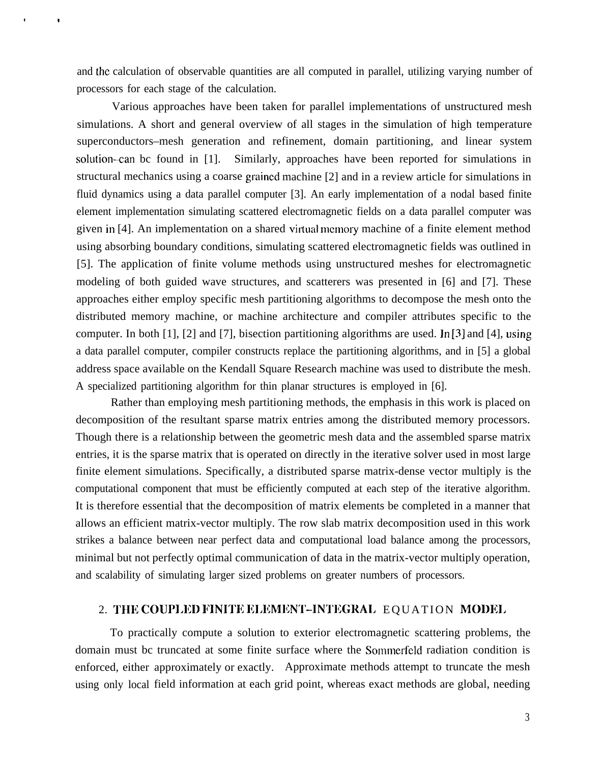and the calculation of observable quantities are all computed in parallel, utilizing varying number of processors for each stage of the calculation.

Various approaches have been taken for parallel implementations of unstructured mesh simulations. A short and general overview of all stages in the simulation of high temperature superconductors–mesh generation and refinement, domain partitioning, and linear system solution-can bc found in [1]. Similarly, approaches have been reported for simulations in structural mechanics using a coarse grained machine [2] and in a review article for simulations in fluid dynamics using a data parallel computer [3]. An early implementation of a nodal based finite element implementation simulating scattered electromagnetic fields on a data parallel computer was given in [4]. An implementation on a shared virtual memory machine of a finite element method using absorbing boundary conditions, simulating scattered electromagnetic fields was outlined in [5]. The application of finite volume methods using unstructured meshes for electromagnetic modeling of both guided wave structures, and scatterers was presented in [6] and [7]. These approaches either employ specific mesh partitioning algorithms to decompose the mesh onto the distributed memory machine, or machine architecture and compiler attributes specific to the computer. In both [1], [2] and [7], bisection partitioning algorithms are used. In [3] and [4], using a data parallel computer, compiler constructs replace the partitioning algorithms, and in [5] a global address space available on the Kendall Square Research machine was used to distribute the mesh. A specialized partitioning algorithm for thin planar structures is employed in [6].

Rather than employing mesh partitioning methods, the emphasis in this work is placed on decomposition of the resultant sparse matrix entries among the distributed memory processors. Though there is a relationship between the geometric mesh data and the assembled sparse matrix entries, it is the sparse matrix that is operated on directly in the iterative solver used in most large finite element simulations. Specifically, a distributed sparse matrix-dense vector multiply is the computational component that must be efficiently computed at each step of the iterative algorithm. It is therefore essential that the decomposition of matrix elements be completed in a manner that allows an efficient matrix-vector multiply. The row slab matrix decomposition used in this work strikes a balance between near perfect data and computational load balance among the processors, minimal but not perfectly optimal communication of data in the matrix-vector multiply operation, and scalability of simulating larger sized problems on greater numbers of processors.

#### 2. THE COUPLED FINITE ELEMENT-INTEGRAL EQUATION MODEL

To practically compute a solution to exterior electromagnetic scattering problems, the domain must bc truncated at some finite surface where the Sommerfeld radiation condition is enforced, either approximately or exactly. Approximate methods attempt to truncate the mesh using only local field information at each grid point, whereas exact methods are global, needing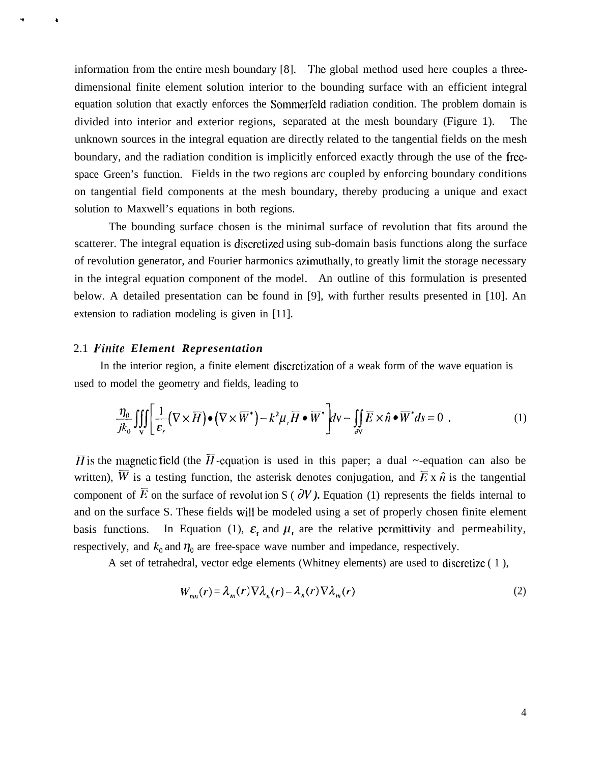information from the entire mesh boundary [8]. The global method used here couples a threedimensional finite element solution interior to the bounding surface with an efficient integral equation solution that exactly enforces the Sommerfeld radiation condition. The problem domain is divided into interior and exterior regions, separated at the mesh boundary (Figure 1). The unknown sources in the integral equation are directly related to the tangential fields on the mesh boundary, and the radiation condition is implicitly enforced exactly through the use of the freespace Green's function. Fields in the two regions arc coupled by enforcing boundary conditions on tangential field components at the mesh boundary, thereby producing a unique and exact solution to Maxwell's equations in both regions.

The bounding surface chosen is the minimal surface of revolution that fits around the scatterer. The integral equation is discretized using sub-domain basis functions along the surface of revolution generator, and Fourier harmonics azimuthally, to greatly limit the storage necessary in the integral equation component of the model. An outline of this formulation is presented below. A detailed presentation can bc found in [9], with further results presented in [10]. An extension to radiation modeling is given in [11].

#### 2.1 *Finite Element Representation*

*'4 1*

In the interior region, a finite element discretization of a weak form of the wave equation is used to model the geometry and fields, leading to

$$
\frac{\eta_0}{jk_0} \iiint\limits_{V} \left[ \frac{1}{\varepsilon_r} \left( \nabla \times \overline{H} \right) \bullet \left( \nabla \times \overline{W}^* \right) - k^2 \mu_r \overline{H} \bullet \overline{W}^* \right] dv - \iint\limits_{\partial V} \overline{E} \times \hat{n} \bullet \overline{W}^* ds = 0 \tag{1}
$$

 $\overline{H}$  is the magnetic field (the  $\overline{H}$ -equation is used in this paper; a dual ~-equation can also be written),  $\overline{W}$  is a testing function, the asterisk denotes conjugation, and  $\overline{E} \times \hat{n}$  is the tangential component of  $\overline{E}$  on the surface of revolut ion S ( $\partial V$ ). Equation (1) represents the fields internal to and on the surface S. These fields will be modeled using a set of properly chosen finite element basis functions. In Equation (1),  $\varepsilon$  and  $\mu$  are the relative permittivity and permeability, respectively, and  $k_0$  and  $\eta_0$  are free-space wave number and impedance, respectively.

A set of tetrahedral, vector edge elements (Whitney elements) are used to discretize ( 1 ),

$$
\overline{W}_{mn}(r) = \lambda_m(r) \nabla \lambda_n(r) - \lambda_n(r) \nabla \lambda_m(r)
$$
\n(2)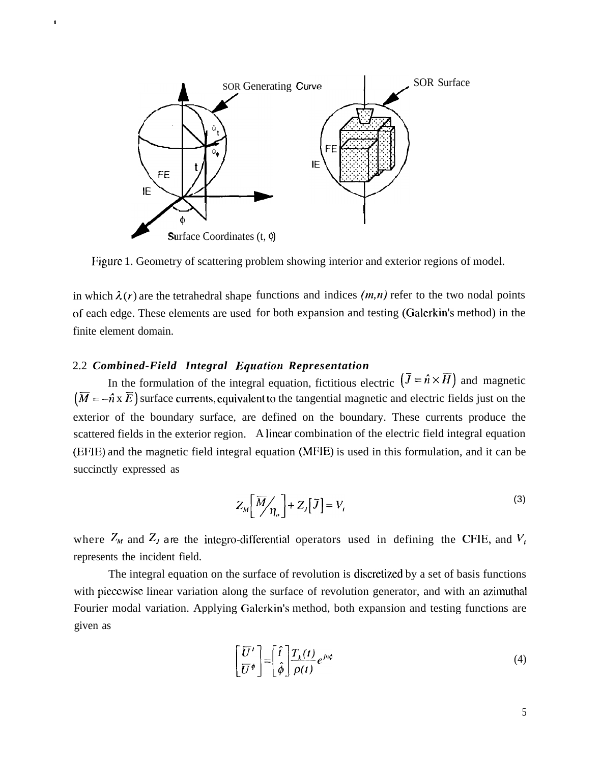

Figure 1. Geometry of scattering problem showing interior and exterior regions of model.

in which  $\lambda(r)$  are the tetrahedral shape functions and indices  $(m,n)$  refer to the two nodal points of each edge. These elements are used for both expansion and testing (Galerkin's method) in the finite element domain.

# 2.2 *Combined-Field Integral Equation Representation*

I

In the formulation of the integral equation, fictitious electric  $({\overline{J}} = \hat{n} \times {\overline{H}})$  and magnetic  $({\overline{M}} = -\hat{n} \times \overline{E})$  surface currents, equivalent to the tangential magnetic and electric fields just on the exterior of the boundary surface, are defined on the boundary. These currents produce the scattered fields in the exterior region. A linear combination of the electric field integral equation (EFIE) and the magnetic field integral equation (MFIE) is used in this formulation, and it can be succinctly expressed as

$$
Z_M \left[ \overline{M}'_{\eta_o} \right] + Z_J \left[ \overline{J} \right] = V_i \tag{3}
$$

where  $Z_M$  and  $Z_J$  are the integro-differential operators used in defining the CFIE, and  $V_i$ represents the incident field.

The integral equation on the surface of revolution is discretized by a set of basis functions with piecewise linear variation along the surface of revolution generator, and with an azimuthal Fourier modal variation. Applying Galcrkin's method, both expansion and testing functions are given as

$$
\left[\frac{\overline{U}'}{\overline{U}'}\right] = \left[\frac{\hat{t}}{\hat{\phi}}\right] \frac{T_k(t)}{\rho(t)} e^{jn\phi} \tag{4}
$$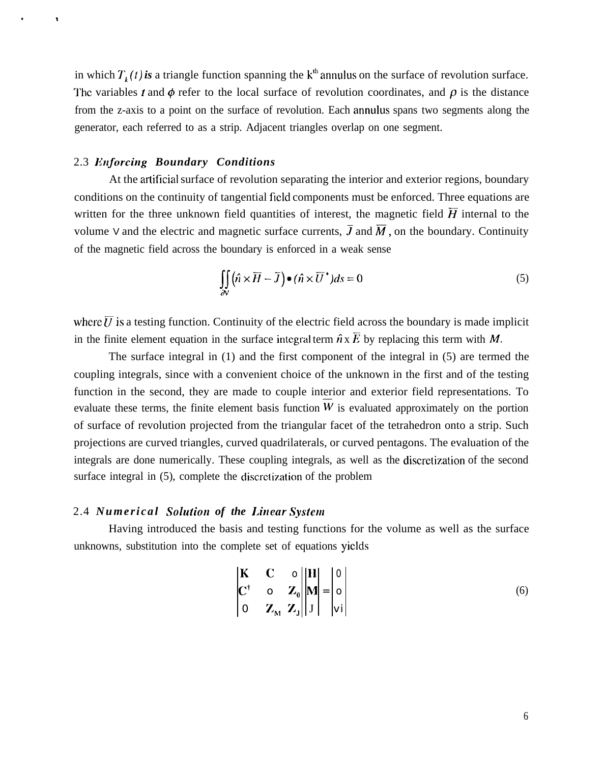in which  $T_k(t)$  is a triangle function spanning the k<sup>th</sup> annulus on the surface of revolution surface. The variables t and  $\phi$  refer to the local surface of revolution coordinates, and  $\rho$  is the distance from the z-axis to a point on the surface of revolution. Each annulus spans two segments along the generator, each referred to as a strip. Adjacent triangles overlap on one segment.

#### 2.3 *Erlforcing Boundary Conditions*

ĭ

At the artificial surface of revolution separating the interior and exterior regions, boundary conditions on the continuity of tangential field components must be enforced. Three equations are written for the three unknown field quantities of interest, the magnetic field  $\overline{H}$  internal to the volume V and the electric and magnetic surface currents,  $\bar{J}$  and  $\bar{M}$ , on the boundary. Continuity of the magnetic field across the boundary is enforced in a weak sense

$$
\iint\limits_{\partial V} (\hat{n} \times \overline{H} - \overline{J}) \bullet (\hat{n} \times \overline{U}^*) ds = 0
$$
\n(5)

where  $\overline{U}$  is a testing function. Continuity of the electric field across the boundary is made implicit in the finite element equation in the surface integral term  $\hat{n} \times \overline{E}$  by replacing this term with M.

The surface integral in (1) and the first component of the integral in (5) are termed the coupling integrals, since with a convenient choice of the unknown in the first and of the testing function in the second, they are made to couple interior and exterior field representations. To evaluate these terms, the finite element basis function  $W$  is evaluated approximately on the portion of surface of revolution projected from the triangular facet of the tetrahedron onto a strip. Such projections are curved triangles, curved quadrilaterals, or curved pentagons. The evaluation of the integrals are done numerically. These coupling integrals, as well as the discretization of the second surface integral in (5), complete the discretization of the problem

#### 2.4 *Numerical Solution of the Linear System*

Having introduced the basis and testing functions for the volume as well as the surface unknowns, substitution into the complete set of equations yields

$$
\begin{vmatrix} \mathbf{K} & \mathbf{C} & \mathbf{o} \\ \mathbf{C}^{\dagger} & \mathbf{o} & \mathbf{Z}_{0} \\ \mathbf{O} & \mathbf{Z}_{M} & \mathbf{Z}_{J} \end{vmatrix} \begin{vmatrix} \mathbf{H} \\ \mathbf{M} \\ \mathbf{J} \end{vmatrix} = \begin{vmatrix} \mathbf{0} \\ \mathbf{o} \\ \mathbf{v} \mathbf{i} \end{vmatrix}
$$
 (6)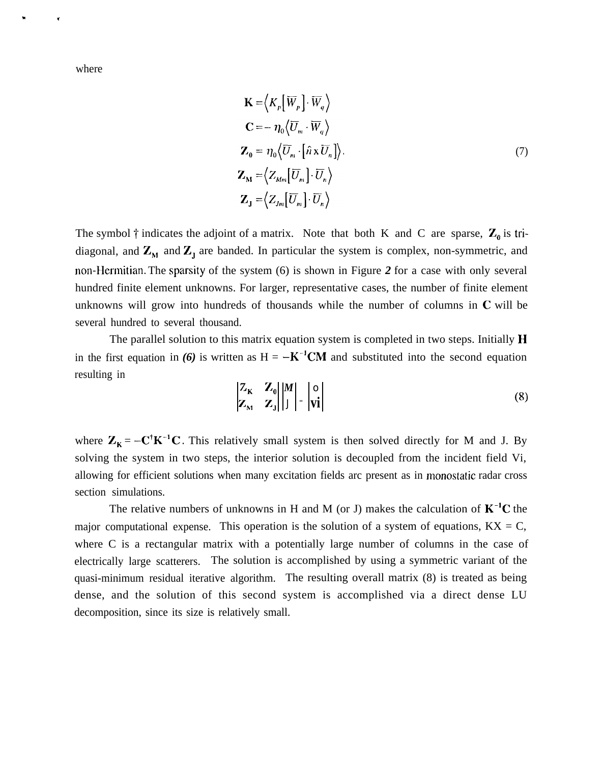where

$$
\mathbf{K} = \langle K_p \Big[ \overline{W}_p \Big] \cdot \overline{W}_q \rangle
$$
  
\n
$$
\mathbf{C} = -\eta_0 \langle \overline{U}_m \cdot \overline{W}_q \rangle
$$
  
\n
$$
\mathbf{Z}_0 = \eta_0 \langle \overline{U}_m \cdot \Big[ \hat{n} \times \overline{U}_n \Big] \rangle.
$$
  
\n
$$
\mathbf{Z}_M = \langle Z_{Mm} \Big[ \overline{U}_m \Big] \cdot \overline{U}_n \rangle
$$
  
\n
$$
\mathbf{Z}_J = \langle Z_{Jm} \Big[ \overline{U}_m \Big] \cdot \overline{U}_n \rangle
$$
  
\n(7)

The symbol  $\dagger$  indicates the adjoint of a matrix. Note that both K and C are sparse,  $\mathbb{Z}_{0}$  is tridiagonal, and  $\mathbb{Z}_{M}$  and  $\mathbb{Z}_{J}$  are banded. In particular the system is complex, non-symmetric, and non-Hermitian. The sparsity of the system (6) is shown in Figure 2 for a case with only several hundred finite element unknowns. For larger, representative cases, the number of finite element unknowns will grow into hundreds of thousands while the number of columns in  $C$  will be several hundred to several thousand.

The parallel solution to this matrix equation system is completed in two steps. Initially H in the first equation in (6) is written as  $H = -K^{-1}CM$  and substituted into the second equation resulting in

$$
\begin{vmatrix} Z_K & Z_0 \\ Z_M & Z_J \end{vmatrix} \begin{vmatrix} M \\ J \end{vmatrix} = \begin{vmatrix} 0 \\ \text{vi} \end{vmatrix}
$$
 (8)

where  $Z_K = -C^{\dagger} K^{-1}C$ . This relatively small system is then solved directly for M and J. By solving the system in two steps, the interior solution is decoupled from the incident field Vi, allowing for efficient solutions when many excitation fields arc present as in monostatic radar cross section simulations.

The relative numbers of unknowns in H and M (or J) makes the calculation of  $K^{-1}C$  the major computational expense. This operation is the solution of a system of equations,  $KX = C$ , where C is a rectangular matrix with a potentially large number of columns in the case of electrically large scatterers. The solution is accomplished by using a symmetric variant of the quasi-minimum residual iterative algorithm. The resulting overall matrix (8) is treated as being dense, and the solution of this second system is accomplished via a direct dense LU decomposition, since its size is relatively small.

,

"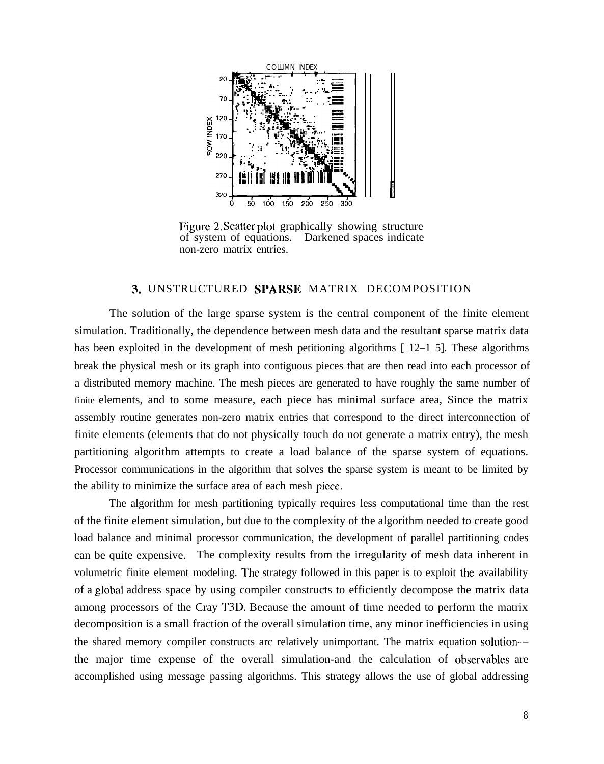

Figure 2. Scatter plot graphically showing structure of system of equations. Darkened spaces indicate non-zero matrix entries.

# 3. UNSTRUCTURED SPARSE MATRIX DECOMPOSITION

The solution of the large sparse system is the central component of the finite element simulation. Traditionally, the dependence between mesh data and the resultant sparse matrix data has been exploited in the development of mesh petitioning algorithms [ 12–1 5]. These algorithms break the physical mesh or its graph into contiguous pieces that are then read into each processor of a distributed memory machine. The mesh pieces are generated to have roughly the same number of finite elements, and to some measure, each piece has minimal surface area, Since the matrix assembly routine generates non-zero matrix entries that correspond to the direct interconnection of finite elements (elements that do not physically touch do not generate a matrix entry), the mesh partitioning algorithm attempts to create a load balance of the sparse system of equations. Processor communications in the algorithm that solves the sparse system is meant to be limited by the ability to minimize the surface area of each mesh piccc.

The algorithm for mesh partitioning typically requires less computational time than the rest of the finite element simulation, but due to the complexity of the algorithm needed to create good load balance and minimal processor communication, the development of parallel partitioning codes can be quite expensive. The complexity results from the irregularity of mesh data inherent in volumetric finite element modeling. The strategy followed in this paper is to exploit the availability of a global address space by using compiler constructs to efficiently decompose the matrix data among processors of the Cray T3D. Because the amount of time needed to perform the matrix decomposition is a small fraction of the overall simulation time, any minor inefficiencies in using the shared memory compiler constructs arc relatively unimportant. The matrix equation solution the major time expense of the overall simulation-and the calculation of observablcs are accomplished using message passing algorithms. This strategy allows the use of global addressing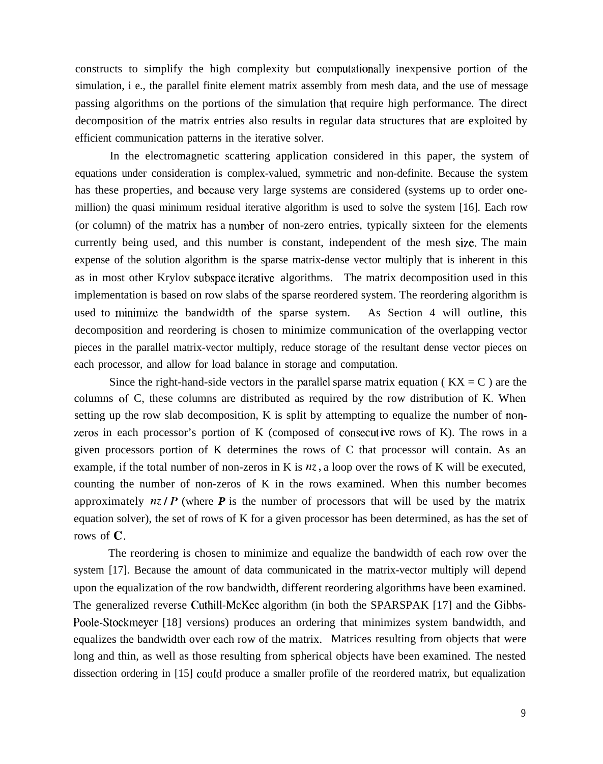constructs to simplify the high complexity but computationally inexpensive portion of the simulation, i e., the parallel finite element matrix assembly from mesh data, and the use of message passing algorithms on the portions of the simulation that require high performance. The direct decomposition of the matrix entries also results in regular data structures that are exploited by efficient communication patterns in the iterative solver.

In the electromagnetic scattering application considered in this paper, the system of equations under consideration is complex-valued, symmetric and non-definite. Because the system has these properties, and because very large systems are considered (systems up to order onemillion) the quasi minimum residual iterative algorithm is used to solve the system [16]. Each row (or column) of the matrix has a number of non-zero entries, typically sixteen for the elements currently being used, and this number is constant, independent of the mesh size, The main expense of the solution algorithm is the sparse matrix-dense vector multiply that is inherent in this as in most other Krylov subspace iterative algorithms. The matrix decomposition used in this implementation is based on row slabs of the sparse reordered system. The reordering algorithm is used to minimize the bandwidth of the sparse system. As Section  $4$  will outline, this decomposition and reordering is chosen to minimize communication of the overlapping vector pieces in the parallel matrix-vector multiply, reduce storage of the resultant dense vector pieces on each processor, and allow for load balance in storage and computation.

Since the right-hand-side vectors in the parallel sparse matrix equation ( $\overline{K}X = C$ ) are the columns of C, these columns are distributed as required by the row distribution of K. When setting up the row slab decomposition, K is split by attempting to equalize the number of nonzeros in each processor's portion of K (composed of consecut ivc rows of K). The rows in a given processors portion of K determines the rows of C that processor will contain. As an example, if the total number of non-zeros in K is  $nz$ , a loop over the rows of K will be executed, counting the number of non-zeros of K in the rows examined. When this number becomes approximately  $nz/P$  (where  $P$  is the number of processors that will be used by the matrix equation solver), the set of rows of K for a given processor has been determined, as has the set of rows of C.

The reordering is chosen to minimize and equalize the bandwidth of each row over the system [17]. Because the amount of data communicated in the matrix-vector multiply will depend upon the equalization of the row bandwidth, different reordering algorithms have been examined. The generalized reverse Cuthill-McKcc algorithm (in both the SPARSPAK [17] and the Gibbs-Poole-Stockmeyer [18] versions) produces an ordering that minimizes system bandwidth, and equalizes the bandwidth over each row of the matrix. Matrices resulting from objects that were long and thin, as well as those resulting from spherical objects have been examined. The nested dissection ordering in [15] could produce a smaller profile of the reordered matrix, but equalization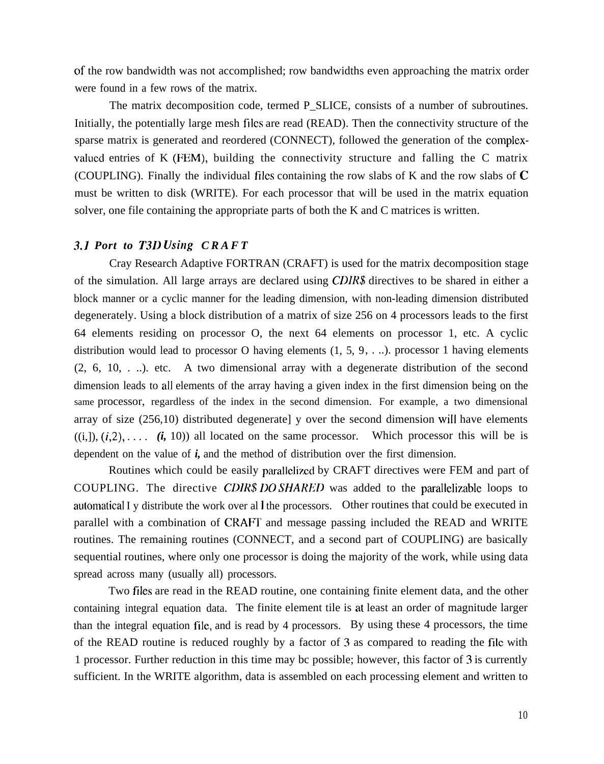of the row bandwidth was not accomplished; row bandwidths even approaching the matrix order were found in a few rows of the matrix.

The matrix decomposition code, termed P\_SLICE, consists of a number of subroutines. Initially, the potentially large mesh files are read (READ). Then the connectivity structure of the sparse matrix is generated and reordered (CONNECT), followed the generation of the complexvalucd entries of K (FEM), building the connectivity structure and falling the C matrix (COUPLING). Finally the individual files containing the row slabs of K and the row slabs of C must be written to disk (WRITE). For each processor that will be used in the matrix equation solver, one file containing the appropriate parts of both the K and C matrices is written.

#### *3.1 Port to T3D Using CRAF T*

Cray Research Adaptive FORTRAN (CRAFT) is used for the matrix decomposition stage of the simulation. All large arrays are declared using CDIR\$ directives to be shared in either a block manner or a cyclic manner for the leading dimension, with non-leading dimension distributed degenerately. Using a block distribution of a matrix of size 256 on 4 processors leads to the first 64 elements residing on processor O, the next 64 elements on processor 1, etc. A cyclic distribution would lead to processor O having elements  $(1, 5, 9, ...)$  processor 1 having elements (2, 6, 10, . ..). etc. A two dimensional array with a degenerate distribution of the second dimension leads to all elements of the array having a given index in the first dimension being on the same processor, regardless of the index in the second dimension. For example, a two dimensional array of size (256,10) distributed degenerate] y over the second dimension will have elements  $((i,1), (i,2), \ldots, (i, 10))$  all located on the same processor. Which processor this will be is dependent on the value of *i,* and the method of distribution over the first dimension.

Routines which could be easily parallclizcd by CRAFT directives were FEM and part of COUPLING. The directive *CDIR\$ DO SHARED* was added to the parallelizable loops to automatical I y distribute the work over al 1 the processors. Other routines that could be executed in parallel with a combination of CRAFT and message passing included the READ and WRITE routines. The remaining routines (CONNECT, and a second part of COUPLING) are basically sequential routines, where only one processor is doing the majority of the work, while using data spread across many (usually all) processors.

Two files are read in the READ routine, one containing finite element data, and the other containing integral equation data. The finite element tile is at least an order of magnitude larger than the integral equation file, and is read by 4 processors. By using these 4 processors, the time of the READ routine is reduced roughly by a factor of 3 as compared to reading the file with 1 processor. Further reduction in this time may bc possible; however, this factor of 3 is currently sufficient. In the WRITE algorithm, data is assembled on each processing element and written to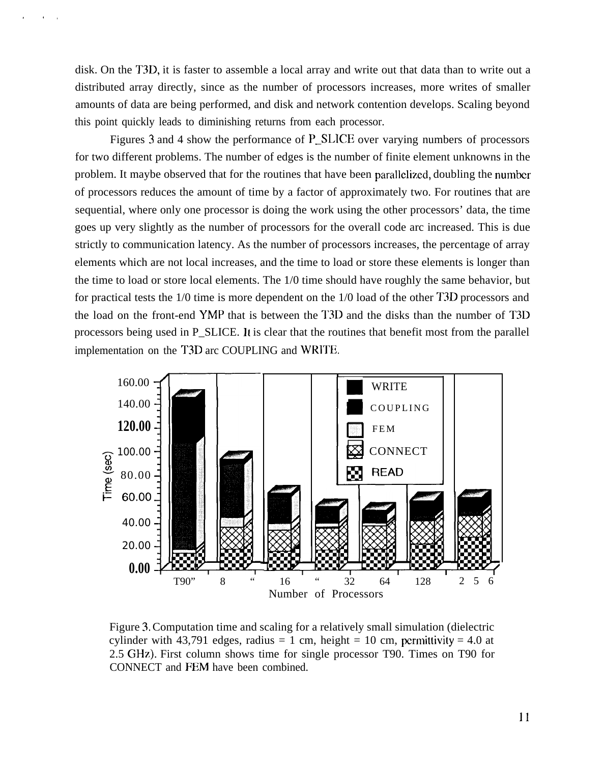disk. On the T3D, it is faster to assemble a local array and write out that data than to write out a distributed array directly, since as the number of processors increases, more writes of smaller amounts of data are being performed, and disk and network contention develops. Scaling beyond this point quickly leads to diminishing returns from each processor.

 $\hat{\theta}$  ,  $\hat{\theta}$  ,  $\hat{\theta}$ 

Figures 3 and 4 show the performance of P\_SLICE over varying numbers of processors for two different problems. The number of edges is the number of finite element unknowns in the problem. It maybe observed that for the routines that have been parallelized, doubling the number of processors reduces the amount of time by a factor of approximately two. For routines that are sequential, where only one processor is doing the work using the other processors' data, the time goes up very slightly as the number of processors for the overall code arc increased. This is due strictly to communication latency. As the number of processors increases, the percentage of array elements which are not local increases, and the time to load or store these elements is longer than the time to load or store local elements. The 1/0 time should have roughly the same behavior, but for practical tests the 1/0 time is more dependent on the 1/0 load of the other T3D processors and the load on the front-end YMP that is between the T3D and the disks than the number of T3D processors being used in P\_SLICE. It is clear that the routines that benefit most from the parallel implementation on the T3D arc COUPLING and WRITE. unication latency. As the<br>net not local increases,<br>is the 1/0 time is more of<br>front-end YMP that is<br>used in P\_SLICE. It is<br>n the T3D arc COUPL



Figure 3. Computation time and scaling for a relatively small simulation (dielectric cylinder with 43,791 edges, radius = 1 cm, height = 10 cm, permittivity = 4.0 at 2.5 GHz). First column shows time for single processor T90. Times on T90 for CONNECT and FEM have been combined.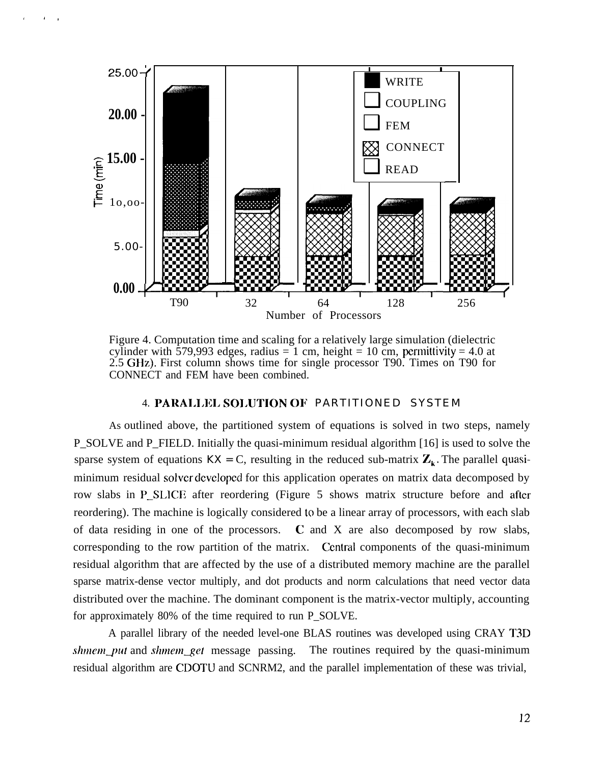

,,,

Figure 4. Computation time and scaling for a relatively large simulation (dielectric cylinder with 579,993 edges, radius = 1 cm, height = 10 cm, permittivity = 4.0 at 2.5 GHz). First column shows time for single processor T90. Times on T90 for CONNECT and FEM have been combined.

#### 4. PARALLEL SOLUTION OF PARTITIONED SYSTEM

As outlined above, the partitioned system of equations is solved in two steps, namely P\_SOLVE and P\_FIELD. Initially the quasi-minimum residual algorithm [16] is used to solve the sparse system of equations  $KX = C$ , resulting in the reduced sub-matrix  $Z_k$ . The parallel quasiminimum residual solvcr dcvclopcd for this application operates on matrix data decomposed by row slabs in P\_SLICE after reordering (Figure 5 shows matrix structure before and after reordering). The machine is logically considered to be a linear array of processors, with each slab of data residing in one of the processors.  $C$  and  $X$  are also decomposed by row slabs, corresponding to the row partition of the matrix. Central components of the quasi-minimum residual algorithm that are affected by the use of a distributed memory machine are the parallel sparse matrix-dense vector multiply, and dot products and norm calculations that need vector data distributed over the machine. The dominant component is the matrix-vector multiply, accounting for approximately 80% of the time required to run P\_SOLVE.

A parallel library of the needed level-one BLAS routines was developed using CRAY T3D shmem put and shmem get message passing. The routines required by the quasi-minimum residual algorithm are CDOTU and SCNRM2, and the parallel implementation of these was trivial,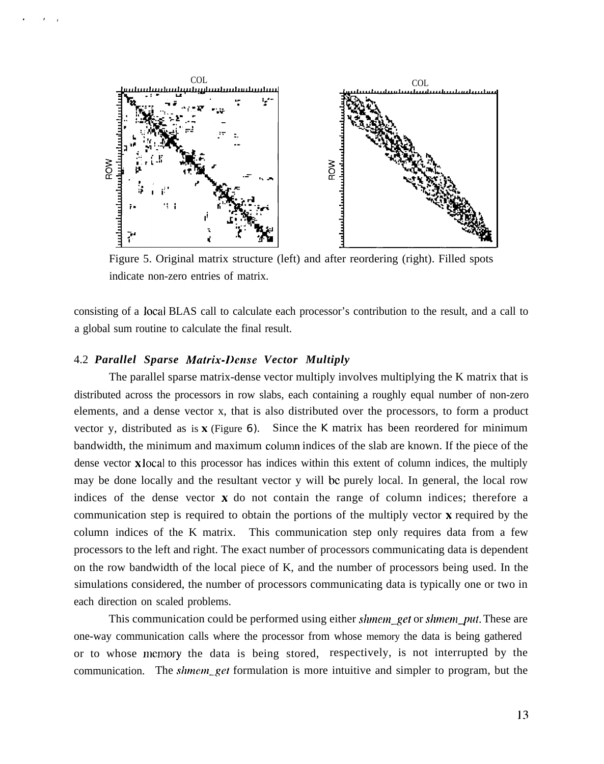

Figure 5. Original matrix structure (left) and after reordering (right). Filled spots indicate non-zero entries of matrix.

consisting of a local BLAS call to calculate each processor's contribution to the result, and a call to a global sum routine to calculate the final result.

## 4.2 *Parallel Sparse Matrix-Ilense Vector Multiply*

,,,

The parallel sparse matrix-dense vector multiply involves multiplying the K matrix that is distributed across the processors in row slabs, each containing a roughly equal number of non-zero elements, and a dense vector x, that is also distributed over the processors, to form a product vector y, distributed as is  $x$  (Figure 6). Since the K matrix has been reordered for minimum bandwidth, the minimum and maximum colunm indices of the slab are known. If the piece of the dense vector x local to this processor has indices within this extent of column indices, the multiply may be done locally and the resultant vector y will bc purely local. In general, the local row indices of the dense vector  $x$  do not contain the range of column indices; therefore a communication step is required to obtain the portions of the multiply vector x required by the column indices of the K matrix. This communication step only requires data from a few processors to the left and right. The exact number of processors communicating data is dependent on the row bandwidth of the local piece of K, and the number of processors being used. In the simulations considered, the number of processors communicating data is typically one or two in each direction on scaled problems.

This communication could be performed using either *shmem\_get* or *shmem\_put*. These are one-way communication calls where the processor from whose memory the data is being gathered or to whose memory the data is being stored, respectively, is not interrupted by the communication. The shmem\_get formulation is more intuitive and simpler to program, but the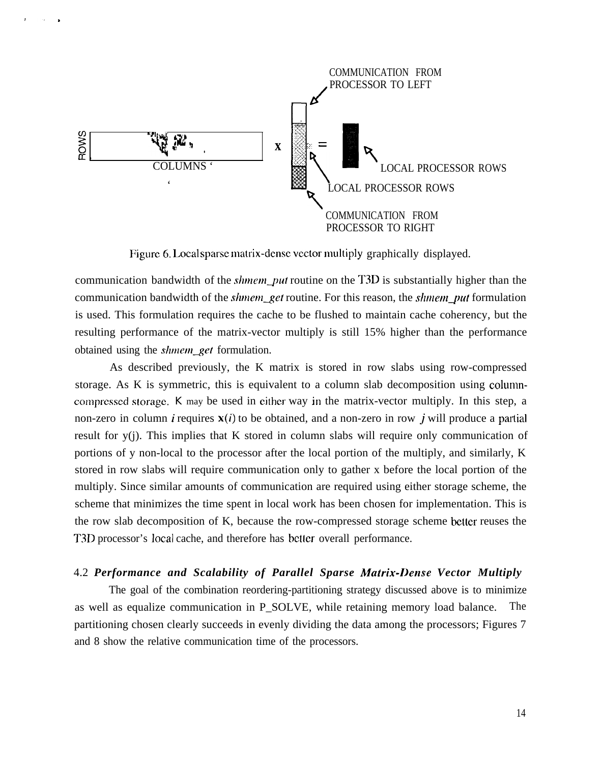

,..

Figure 6. Local sparse matrix-dense vector multiply graphically displayed.

communication bandwidth of the *shmem\_put* routine on the T3D is substantially higher than the communication bandwidth of the *shmem\_get* routine. For this reason, the *shmem\_put* formulation is used. This formulation requires the cache to be flushed to maintain cache coherency, but the resulting performance of the matrix-vector multiply is still 15% higher than the performance obtained using the *shmem get* formulation.

As described previously, the K matrix is stored in row slabs using row-compressed storage. As K is symmetric, this is equivalent to a column slab decomposition using colunmcompressed storage. K may be used in either way in the matrix-vector multiply. In this step, a non-zero in column *i* requires  $x(i)$  to be obtained, and a non-zero in row *j* will produce a partial result for  $y(i)$ . This implies that K stored in column slabs will require only communication of portions of y non-local to the processor after the local portion of the multiply, and similarly, K stored in row slabs will require communication only to gather x before the local portion of the multiply. Since similar amounts of communication are required using either storage scheme, the scheme that minimizes the time spent in local work has been chosen for implementation. This is the row slab decomposition of K, because the row-compressed storage scheme better reuses the T3D processor's local cache, and therefore has better overall performance.

#### 4.2 Performance and Scalability of Parallel Sparse Matrix-Dense Vector Multiply

The goal of the combination reordering-partitioning strategy discussed above is to minimize as well as equalize communication in P\_SOLVE, while retaining memory load balance. The partitioning chosen clearly succeeds in evenly dividing the data among the processors; Figures 7 and 8 show the relative communication time of the processors.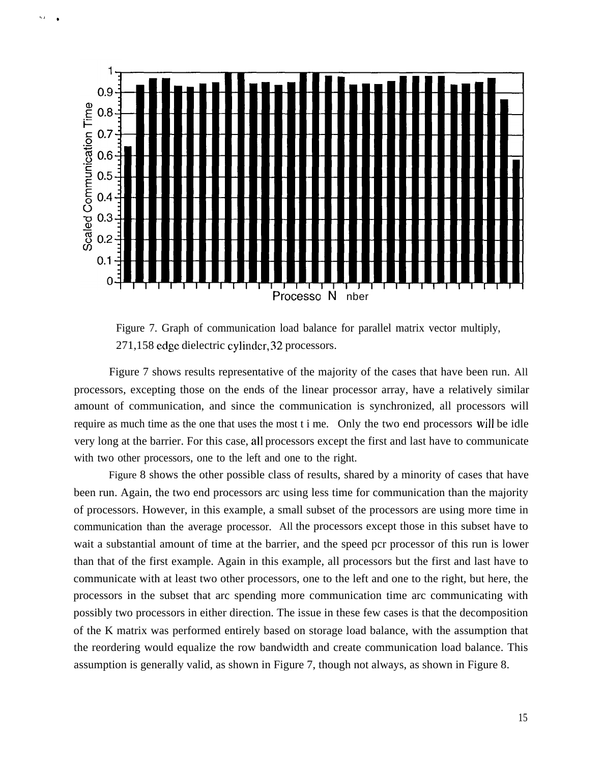

 $\alpha$  , , ,

Figure 7. Graph of communication load balance for parallel matrix vector multiply, 271,158 edge dielectric cy]indcr, 32 processors.

Figure 7 shows results representative of the majority of the cases that have been run. All processors, excepting those on the ends of the linear processor array, have a relatively similar amount of communication, and since the communication is synchronized, all processors will require as much time as the one that uses the most t i me. Only the two end processors will be idle very long at the barrier. For this case, all processors except the first and last have to communicate with two other processors, one to the left and one to the right.

Figure 8 shows the other possible class of results, shared by a minority of cases that have been run. Again, the two end processors arc using less time for communication than the majority of processors. However, in this example, a small subset of the processors are using more time in communication than the average processor. All the processors except those in this subset have to wait a substantial amount of time at the barrier, and the speed pcr processor of this run is lower than that of the first example. Again in this example, all processors but the first and last have to communicate with at least two other processors, one to the left and one to the right, but here, the processors in the subset that arc spending more communication time arc communicating with possibly two processors in either direction. The issue in these few cases is that the decomposition of the K matrix was performed entirely based on storage load balance, with the assumption that the reordering would equalize the row bandwidth and create communication load balance. This assumption is generally valid, as shown in Figure 7, though not always, as shown in Figure 8.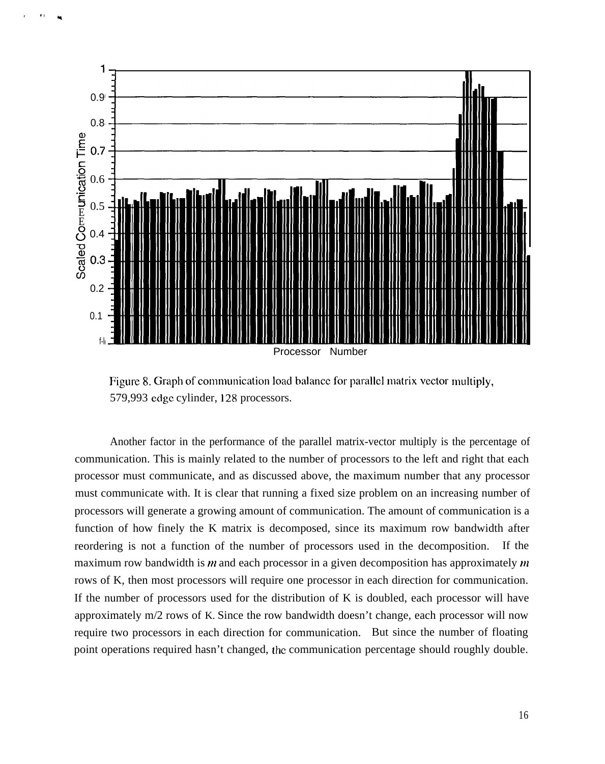

Figure 8. Graph of communication load balance for parallel matrix vector multiply, 579,993 edge cylinder, 128 processors.

Another factor in the performance of the parallel matrix-vector multiply is the percentage of communication. This is mainly related to the number of processors to the left and right that each processor must communicate, and as discussed above, the maximum number that any processor must communicate with. It is clear that running a fixed size problem on an increasing number of processors will generate a growing amount of communication. The amount of communication is a function of how finely the K matrix is decomposed, since its maximum row bandwidth after reordering is not a function of the number of processors used in the decomposition. If the maximum row bandwidth is  $m$  and each processor in a given decomposition has approximately  $m$ rows of K, then most processors will require one processor in each direction for communication. If the number of processors used for the distribution of K is doubled, each processor will have approximately m/2 rows of K. Since the row bandwidth doesn't change, each processor will now require two processors in each direction for communication. But since the number of floating point operations required hasn't changed, the communication percentage should roughly double.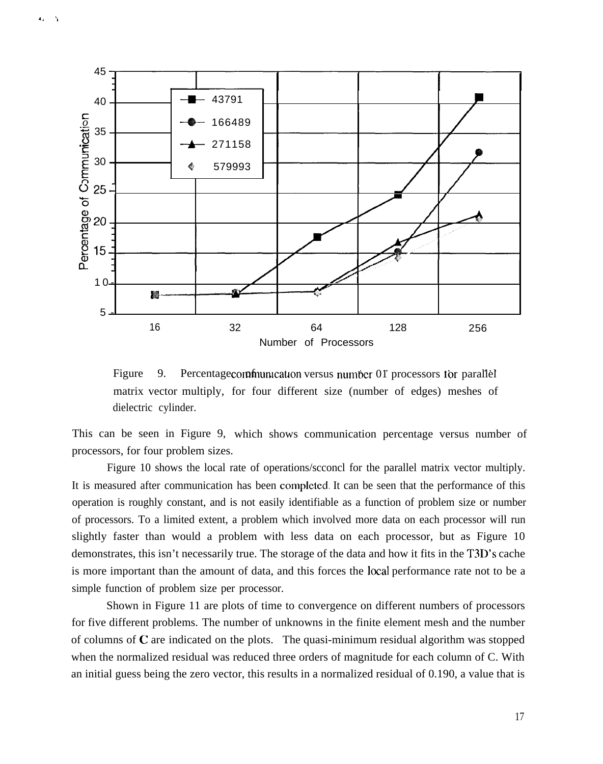

*4, '1*

Figure 9. Percentage communication versus number 01 processors for parallel matrix vector multiply, for four different size (number of edges) meshes of dielectric cylinder.

This can be seen in Figure 9, which shows communication percentage versus number of processors, for four problem sizes.

Figure 10 shows the local rate of operations/scconcl for the parallel matrix vector multiply. It is measured after communication has been completed. It can be seen that the performance of this operation is roughly constant, and is not easily identifiable as a function of problem size or number of processors. To a limited extent, a problem which involved more data on each processor will run slightly faster than would a problem with less data on each processor, but as Figure 10 demonstrates, this isn't necessarily true. The storage of the data and how it fits in the T3D's cache is more important than the amount of data, and this forces the local performance rate not to be a simple function of problem size per processor.

Shown in Figure 11 are plots of time to convergence on different numbers of processors for five different problems. The number of unknowns in the finite element mesh and the number of columns of  $C$  are indicated on the plots. The quasi-minimum residual algorithm was stopped when the normalized residual was reduced three orders of magnitude for each column of C. With an initial guess being the zero vector, this results in a normalized residual of 0.190, a value that is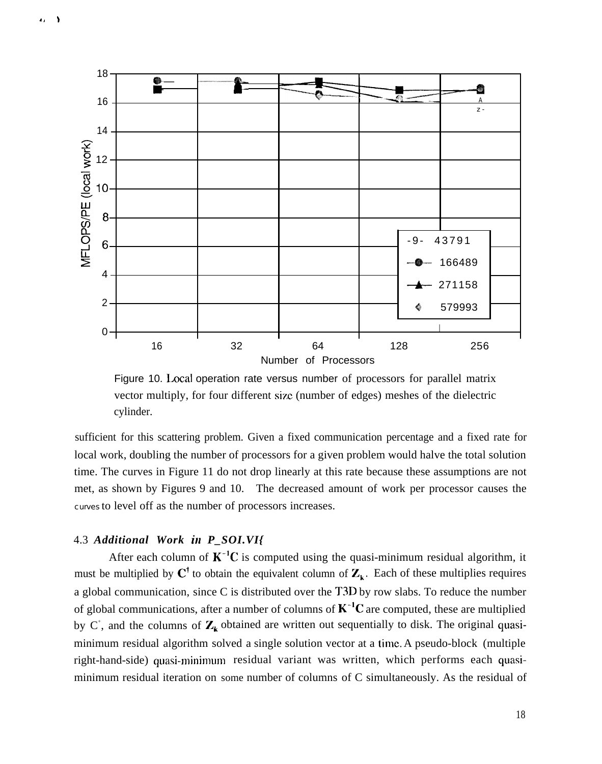

Figure 10. Local operation rate versus number of processors for parallel matrix vector multiply, for four different size (number of edges) meshes of the dielectric cylinder.

sufficient for this scattering problem. Given a fixed communication percentage and a fixed rate for local work, doubling the number of processors for a given problem would halve the total solution time. The curves in Figure 11 do not drop linearly at this rate because these assumptions are not met, as shown by Figures 9 and 10. The decreased amount of work per processor causes the curves to level off as the number of processors increases.

# 4.3 *Additional Work irl P\_SOI.VI{*

After each column of  $K^{-1}C$  is computed using the quasi-minimum residual algorithm, it must be multiplied by  $\mathbf{C}^{\dagger}$  to obtain the equivalent column of  $\mathbf{Z}_{k}$ . Each of these multiplies requires a global communication, since C is distributed over the T3D by row slabs. To reduce the number of global communications, after a number of columns of  $K^{-1}C$  are computed, these are multiplied by  $C^*$ , and the columns of  $\mathbf{Z}_k$  obtained are written out sequentially to disk. The original quasiminimum residual algorithm solved a single solution vector at a time. A pseudo-block (multiple right-hand-side) quasi-minimum residual variant was written, which performs each quasiminimum residual iteration on some number of columns of C simultaneously. As the residual of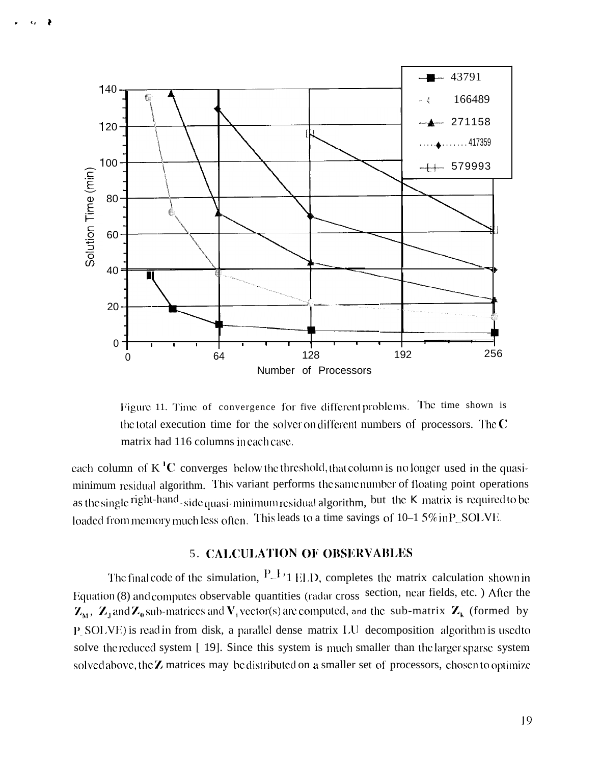

Figure 11. Time of convergence for five different problems. The time shown is the total execution time for the solver on different numbers of processors. The  $C$ matrix had 116 columns in each case.

each column of  $K^1C$  converges below the threshold, that column is no longer used in the quasiminimum residual algorithm. This variant performs the same number of floating point operations as the single right-hand-side quasi-minimum residual algorithm, but the K matrix is required to be loaded from memory much less often. This leads to a time savings of 10-1 5% in P\_SOLVE.

# 5. CALCULATION OF OBSERVABLES

The final code of the simulation,  $P^{-1}$ ,  $\cdot$  1 ELD, completes the matrix calculation shown in Equation (8) and computes observable quantities (radar cross section, near fields, etc.) After the  $Z_M$ ,  $Z_J$  and  $Z_0$  sub-matrices and  $V_i$  vector(s) are computed, and the sub-matrix  $Z_k$  (formed by P SOLVE) is read in from disk, a parallel dense matrix LU decomposition algorithm is used to solve the reduced system [19]. Since this system is much smaller than the larger sparse system solved above, the Z matrices may be distributed on a smaller set of processors, chosen to optimize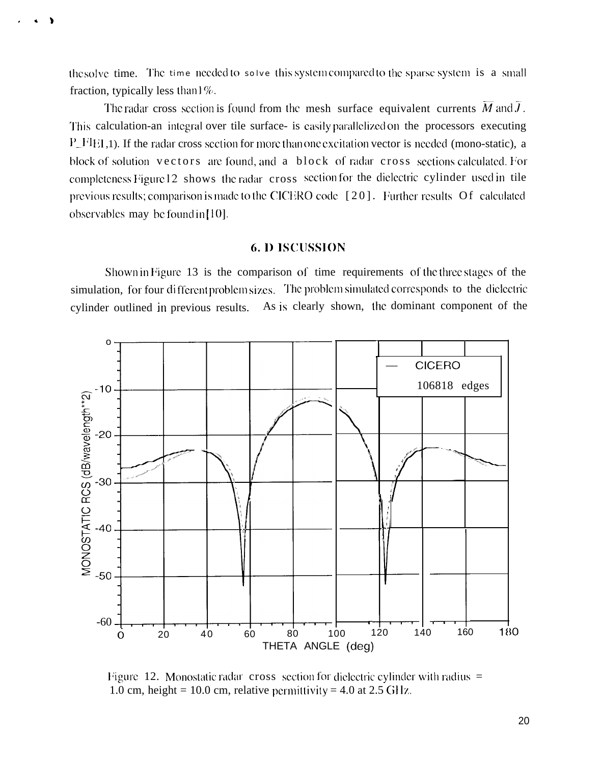the solve time. The time needed to solve this system compared to the sparse system is a small fraction, typically less than 1%.

The radar cross section is found from the mesh surface equivalent currents  $\overline{M}$  and  $\overline{J}$ . This calculation-an integral over tile surface- is easily parallelized on the processors executing P\_FIEI,1). If the radar cross section for more than one excitation vector is needed (mono-static), a block of solution vectors are found, and a block of radar cross sections calculated. For completeness Figure 12 shows the radar cross section for the dielectric cylinder used in tile previous results; comparison is made to the CICERO code [20]. Further results Of calculated observables may be found in  $[10]$ .

# **6. D ISCUSSION**

Shown in Figure 13 is the comparison of time requirements of the three stages of the simulation, for four different problem sizes. The problem simulated corresponds to the dielectric As is clearly shown, the dominant component of the cylinder outlined in previous results.



Figure 12. Monostatic radar cross section for dielectric cylinder with radius  $=$ 1.0 cm, height = 10.0 cm, relative permittivity = 4.0 at 2.5 GHz.

20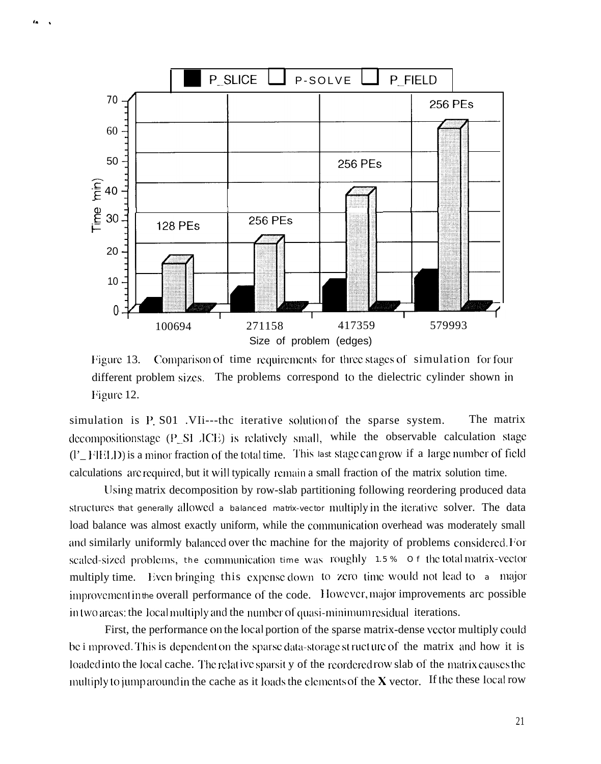

Comparison of time requirements for three stages of simulation for four Figure 13. different problem sizes. The problems correspond to the dielectric cylinder shown in Figure 12.

simulation is P S01 .VIi---the iterative solution of the sparse system. The matrix decompositionstage (P SI JCE) is relatively small, while the observable calculation stage (l'\_FIELD) is a minor fraction of the total time. This last stage can grow if a large number of field calculations are required, but it will typically remain a small fraction of the matrix solution time.

Using matrix decomposition by row-slab partitioning following reordering produced data structures that generally allowed a balanced matrix-vector multiply in the iterative solver. The data load balance was almost exactly uniform, while the communication overhead was moderately small and similarly uniformly balanced over the machine for the majority of problems considered. For scaled-sized problems, the communication time was roughly 1.5% of the total matrix-vector multiply time. Even bringing this expense down to zero time would not lead to a major improvement in the overall performance of the code. However, major improvements are possible in two areas: the local multiply and the number of quasi-minimum residual iterations.

First, the performance on the local portion of the sparse matrix-dense vector multiply could be i mproved. This is dependent on the sparse data-storage st ructure of the matrix and how it is loaded into the local cache. The relative sparsity of the reordered row slab of the matrix causes the multiply to jump around in the cache as it loads the elements of the  $X$  vector. If the these local row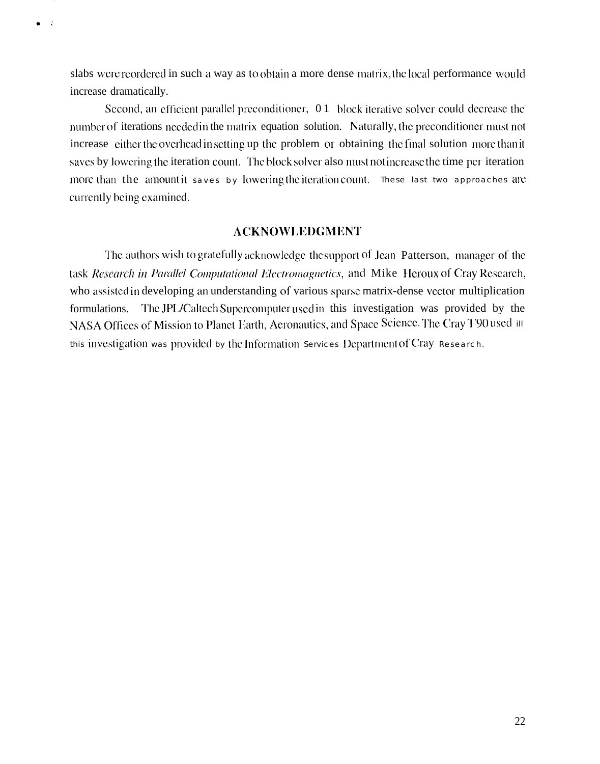slabs were reordered in such a way as to obtain a more dense matrix, the local performance would increase dramatically.

 $\mathbb{R}^2$  $\bullet$ 

> Second, an efficient parallel preconditioner, 01 block iterative solver could decrease the number of iterations needed in the matrix equation solution. Naturally, the preconditioner must not increase cither the overhead in setting up the problem or obtaining the final solution more than it saves by lowering the iteration count. The block solver also must not increase the time per iteration more than the amount it saves by lowering the iteration count. These last two approaches are currently being examined.

#### **ACKNOWLEDGMENT**

The authors wish to gratefully acknowledge the support of Jean Patterson, manager of the task Research in Parallel Computational Electromagnetics, and Mike Heroux of Cray Research, who assisted in developing an understanding of various sparse matrix-dense vector multiplication The JPL/Caltech Supercomputer used in this investigation was provided by the formulations. NASA Offices of Mission to Planet Earth, Aeronautics, and Space Science. The Cray T 90 used in this investigation was provided by the Information services Department of Cray Research.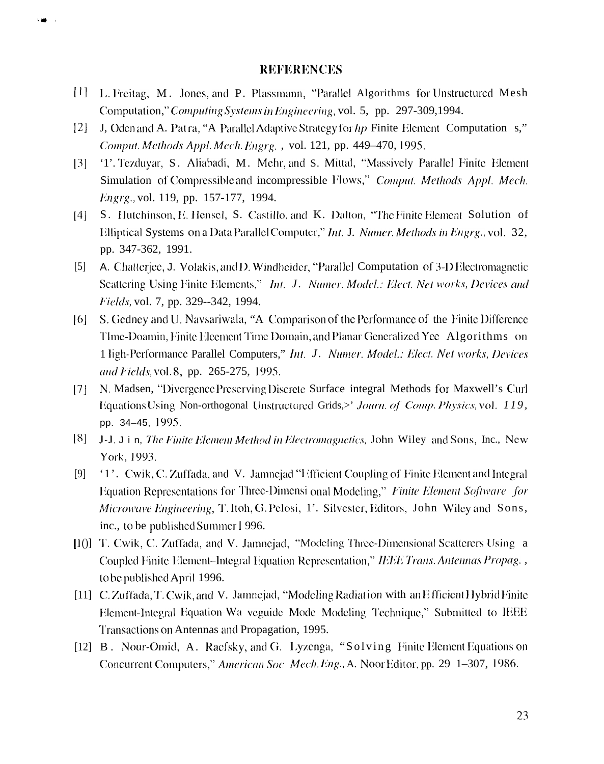#### **REFERENCES**

 $\blacksquare$ 

- [1] L. Freitag, M. Jones, and P. Plassmann, "Parallel Algorithms for Unstructured Mesh Computation," Computing Systems in Engineering, vol. 5, pp. 297-309,1994.
- [2] J, Oden and A. Patra, "A Parallel Adaptive Strategy for hp Finite Element Computation s," Comput. Methods Appl. Mech. Engrg., vol. 121, pp. 449–470, 1995.
- '1'. Tezduyar, S. Aliabadi, M. Mehr, and S. Mittal, "Massively Parallel Finite Element  $\left|3\right|$ Simulation of Compressible and incompressible Flows," Comput. Methods Appl. Mech. *Engrg., vol. 119, pp. 157-177, 1994.*
- S. Hutchinson, E. Hensel, S. Castillo, and K. Dalton, "The Finite Element Solution of  $[4]$ Elliptical Systems on a Data Parallel Computer," Int. J. Numer. Methods in Engrg., vol. 32, pp. 347-362, 1991.
- A. Chatterjee, J. Volakis, and D. Windheider, "Parallel Computation of 3-D Electromagnetic  $\lceil 5 \rceil$ Scattering Using Finite Elements," Int. J. Numer, Model.: Elect. Net works, Devices and Fields, vol. 7, pp. 329--342, 1994.
- [6] S. Gedney and U. Navsariwala, "A Comparison of the Performance of the Finite Difference TIme-Doamin, Finite Eleement Time Domain, and Planar Generalized Yee Algorithms on 1 ligh-Performance Parallel Computers," Int. J. Numer. Model.: Elect. Net works, Devices and Fields, vol. 8, pp. 265-275, 1995.
- [7] N. Madsen, "Divergence Preserving Discrete Surface integral Methods for Maxwell's Curl Equations Using Non-orthogonal Unstructured Grids,>' Journ. of Comp. Physics, vol. 119, pp. 34-45, 1995.
- [8] J-J. J i n, The Finite Element Method in Electromagnetics, John Wiley and Sons, Inc., New York, 1993.
- '1'. Cwik, C. Zuffada, and V. Jamnejad "Efficient Coupling of Finite Element and Integral  $[9]$ Equation Representations for Three-Dimensi onal Modeling," Finite Element Software for Microwave Engineering, T. Itoh, G. Pelosi, 1'. Silvester, Editors, John Wiley and Sons, inc., to be published Summer 1996.
- [10] T. Cwik, C. Zuffada, and V. Jamnejad, "Modeling Three-Dimensional Scatterers Using a Coupled Finite Element-Integral Equation Representation," IEEE Trans. Antennas Propag., to be published April 1996.
- [11] C. Zuffada, T. Cwik, and V. Jamnejad, "Modeling Radiation with an Efficient Hybrid Finite Element-Integral Equation-Wa veguide Mode Modeling Technique," Submitted to IEEE Transactions on Antennas and Propagation, 1995.
- [12] B. Nour-Omid, A. Raefsky, and G. Lyzenga, "Solving Finite Element Equations on Concurrent Computers," American Soc. Mech. Eng., A. Noor Editor, pp. 29 1-307, 1986.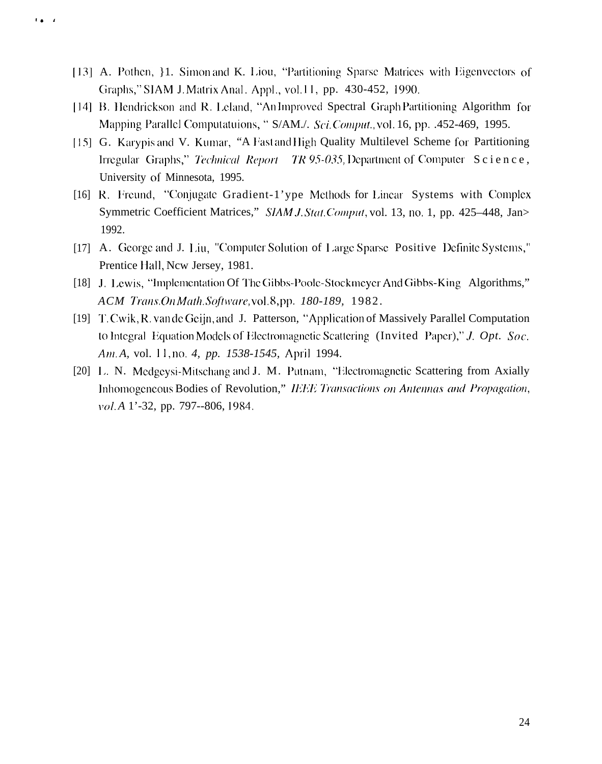[13] A. Pothen, 11. Simon and K. Liou, "Partitioning Sparse Matrices with Eigenvectors of Graphs," SIAM J. Matrix Anal. Appl., vol.11, pp. 430-452, 1990.

 $t = -t$ 

- [14] B. Hendrickson and R. Leland, "An Improved Spectral Graph Partitioning Algorithm for Mapping Parallel Computatuions, "S/AM./. Sci.Comput., vol. 16, pp. .452-469, 1995.
- [15] G. Karypis and V. Kumar, "A Fast and High Quality Multilevel Scheme for Partitioning Irregular Graphs," Technical Report TR 95-035, Department of Computer Science, University of Minnesota, 1995.
- [16] R. Freund, "Conjugate Gradient-1'ype Methods for Linear Systems with Complex Symmetric Coefficient Matrices," SIAM J. Stat. Comput, vol. 13, no. 1, pp. 425–448, Jan> 1992.
- [17] A. George and J. Liu, "Computer Solution of Large Sparse Positive Definite Systems," Prentice Hall, Ncw Jersey, 1981.
- [18] J. Lewis, "Implementation Of The Gibbs-Poole-Stockmeyer And Gibbs-King Algorithms," ACM Trans.OnMath.Software.vol.8.pp. 180-189, 1982.
- [19] T. Cwik, R. van de Geijn, and J. Patterson, "Application of Massively Parallel Computation to Integral Equation Models of Electromagnetic Scattering (Invited Paper)," J. Opt. Soc. Am. A, vol. 11, no. 4, pp. 1538-1545, April 1994.
- [20] L. N. Medgeysi-Mitschang and J. M. Putnam, "Electromagnetic Scattering from Axially Inhomogeneous Bodies of Revolution," IEEE Transactions on Antennas and Propagation, vol.A 1'-32, pp. 797--806, 1984.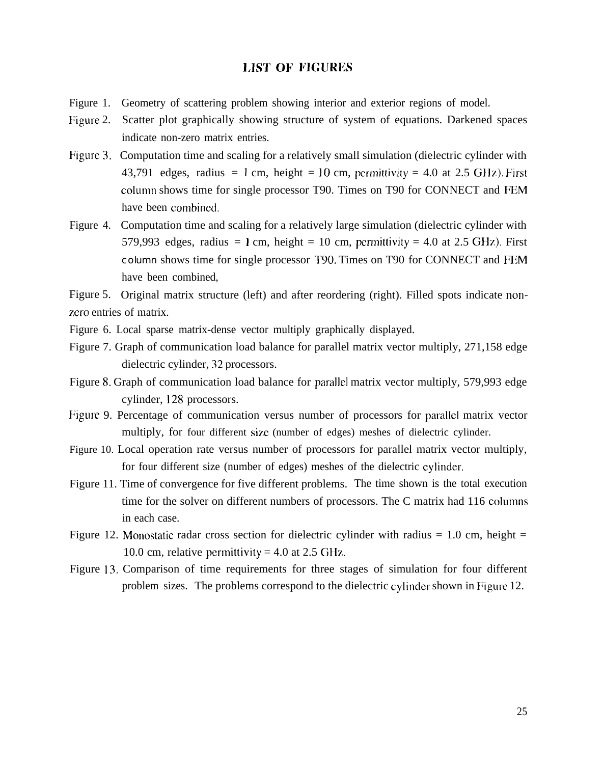## **LIST OF FIGURES**

- Figure 1. Geometry of scattering problem showing interior and exterior regions of model.
- Figure 2. Scatter plot graphically showing structure of system of equations. Darkened spaces indicate non-zero matrix entries.
- Figure 3. Computation time and scaling for a relatively small simulation (dielectric cylinder with 43,791 edges, radius = 1 cm, height = 10 cm, permittivity = 4.0 at 2.5 GHz). First column shows time for single processor T90. Times on T90 for CONNECT and FEM have been combined.
- Figure 4. Computation time and scaling for a relatively large simulation (dielectric cylinder with 579,993 edges, radius = 1 cm, height = 10 cm, permittivity = 4.0 at 2.5 GHz). First column shows time for single processor T90. Times on T90 for CONNECT and FEM have been combined,

Figure 5. Original matrix structure (left) and after reordering (right). Filled spots indicate nonzero entries of matrix.

- Figure 6. Local sparse matrix-dense vector multiply graphically displayed.
- Figure 7. Graph of communication load balance for parallel matrix vector multiply, 271,158 edge dielectric cylinder, 32 processors.
- Figure 8. Graph of communication load balance for parallel matrix vector multiply, 579,993 edge cylinder, 128 processors.
- Figure 9. Percentage of communication versus number of processors for parallel matrix vector multiply, for four different size (number of edges) meshes of dielectric cylinder.
- Figure 10. Local operation rate versus number of processors for parallel matrix vector multiply, for four different size (number of edges) meshes of the dielectric cylinder.
- Figure 11. Time of convergence for five different problems. The time shown is the total execution time for the solver on different numbers of processors. The C matrix had 116 columns in each case.
- Figure 12. Monostatic radar cross section for dielectric cylinder with radius  $= 1.0$  cm, height  $=$ 10.0 cm, relative permittivity = 4.0 at 2.5 GHz.
- Figure 13. Comparison of time requirements for three stages of simulation for four different problem sizes. The problems correspond to the dielectric cylinder shown in Figure 12.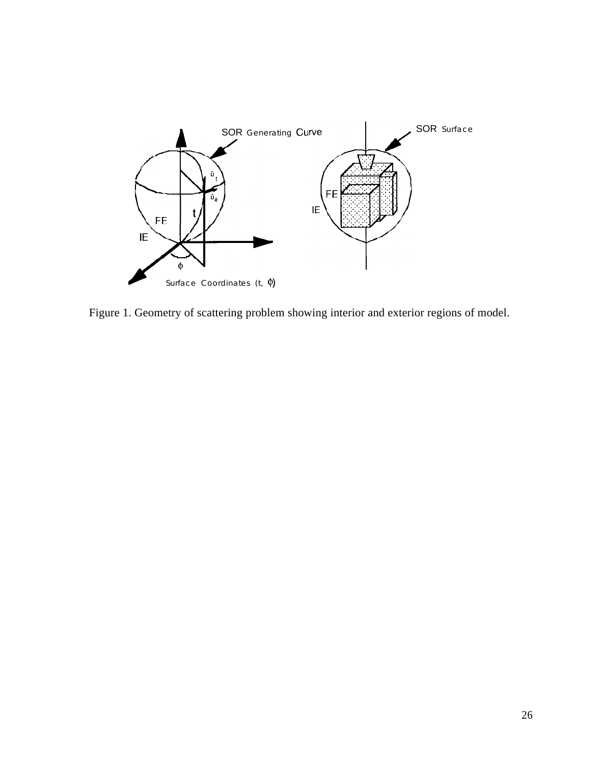

Figure 1. Geometry of scattering problem showing interior and exterior regions of model.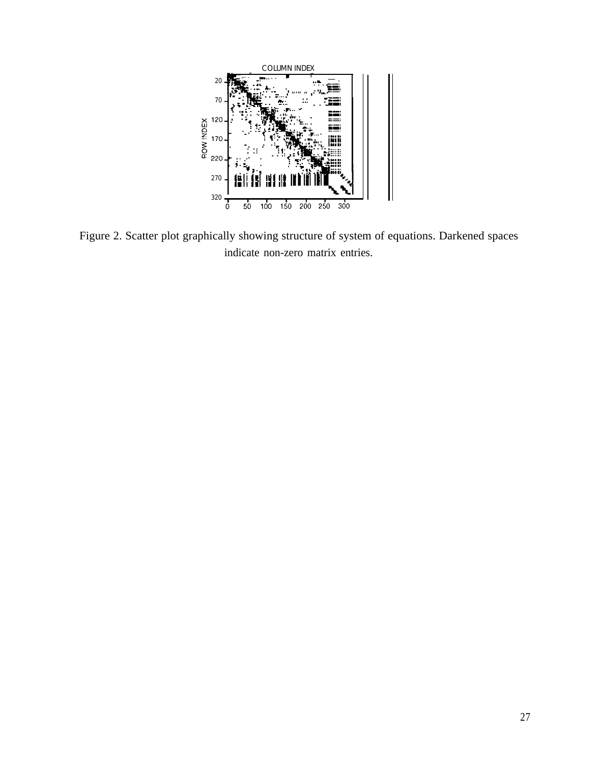

Figure 2. Scatter plot graphically showing structure of system of equations. Darkened spaces indicate non-zero matrix entries.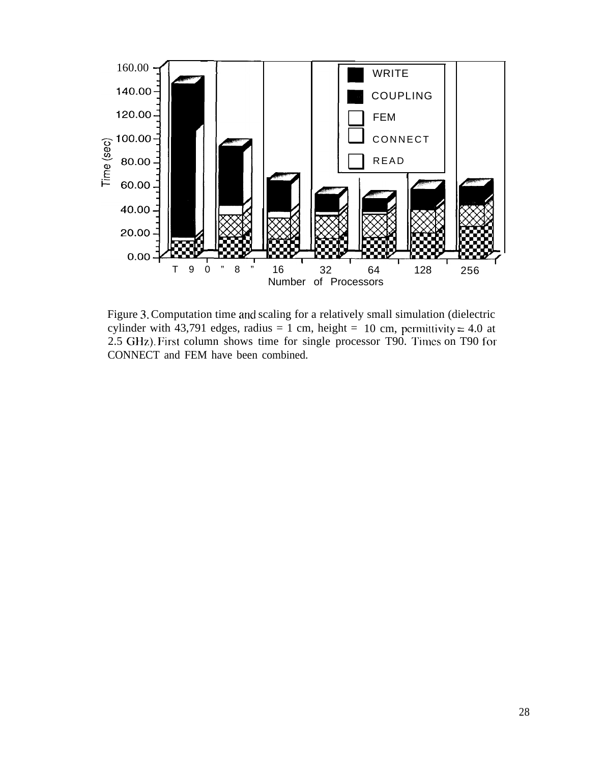

Figure 3. Computation time and scaling for a relatively small simulation (dielectric cylinder with 43,791 edges, radius = 1 cm, height = 10 cm, permittivity = 4.0 at 2.5 GHz). First column shows time for single processor T90. Times on T90 for CONNECT and FEM have been combined.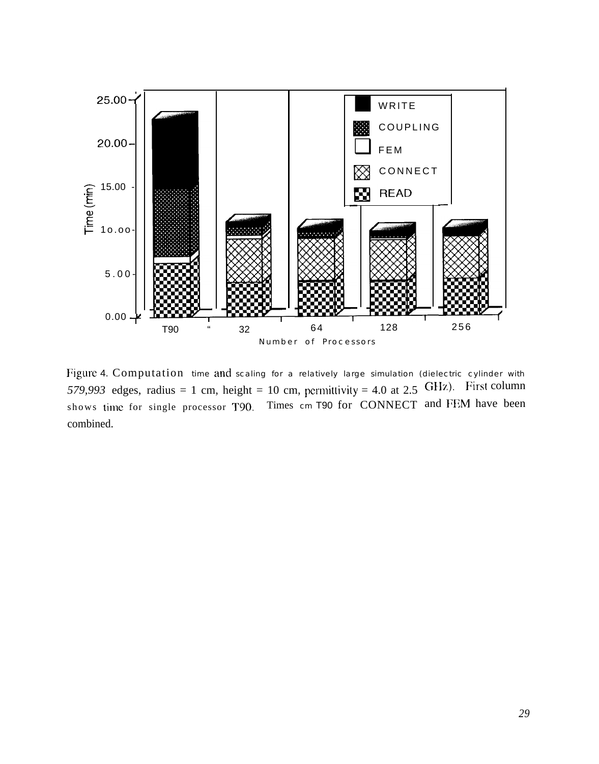

Figure 4. Computation time and scaling for a relatively large simulation (dielectric cylinder with 579,993 edges, radius = 1 cm, height = 10 cm, permittivity = 4.0 at 2.5 GHz). First column shows time for single processor T90. Times cm T90 for CONNECT and FEM have been combined.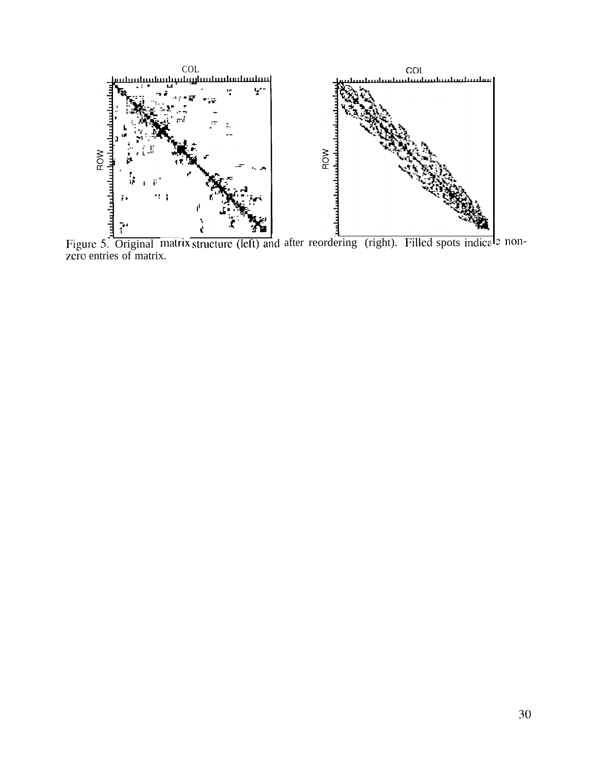

Figure 5. Original matrix structure (left) and after reordering (right). Filled spots indical a non-<br>zero entries of matrix.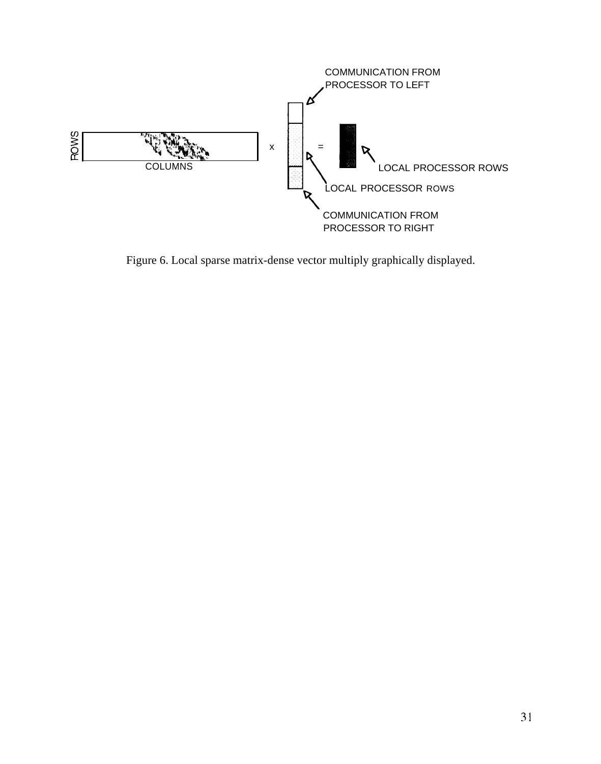

Figure 6. Local sparse matrix-dense vector multiply graphically displayed.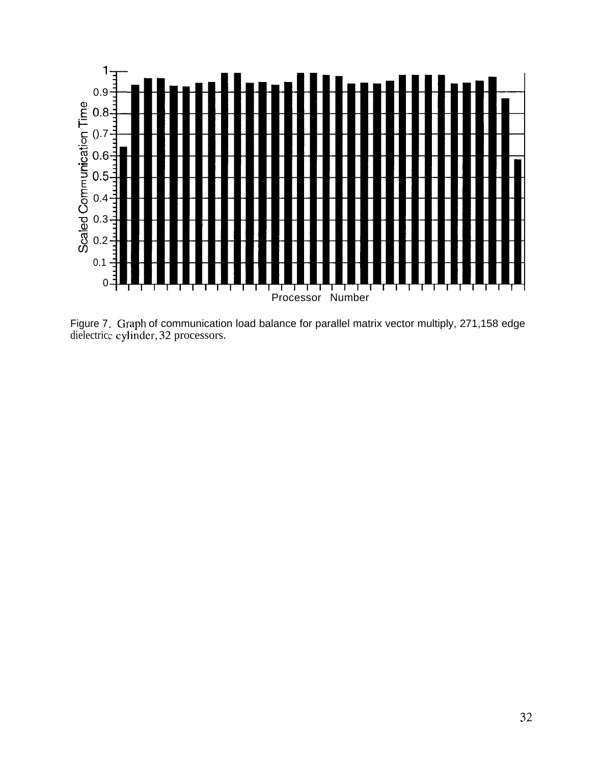

Figure 7. Graph of communication load balance for parallel matrix vector multiply, 271,158 edge dielectricc cylinder, 32 processors.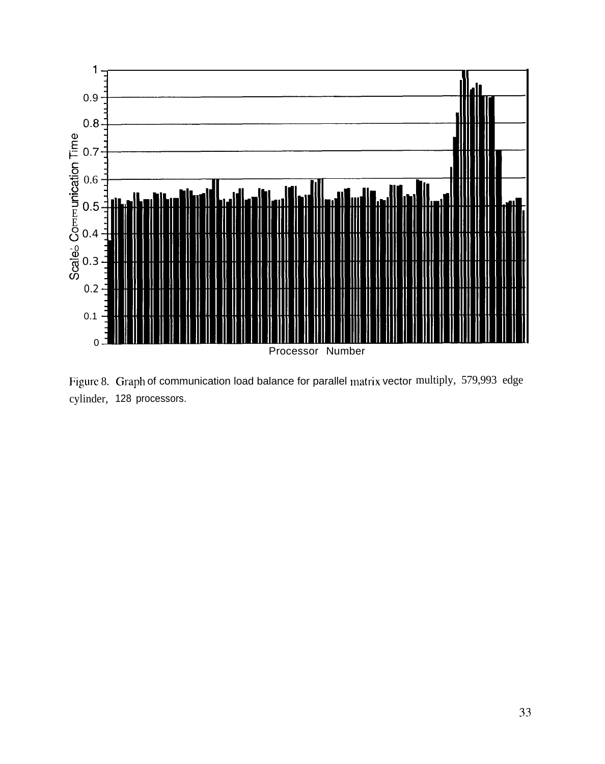

Figure 8. Graph of communication load balance for parallel matrix vector multiply, 579,993 edge cylinder, 128 processors.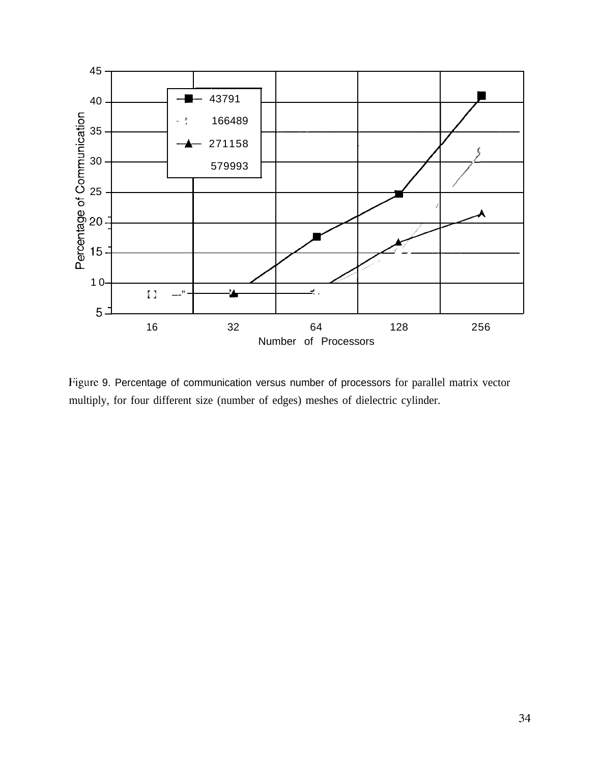

Figure 9. Percentage of communication versus number of processors for parallel matrix vector multiply, for four different size (number of edges) meshes of dielectric cylinder.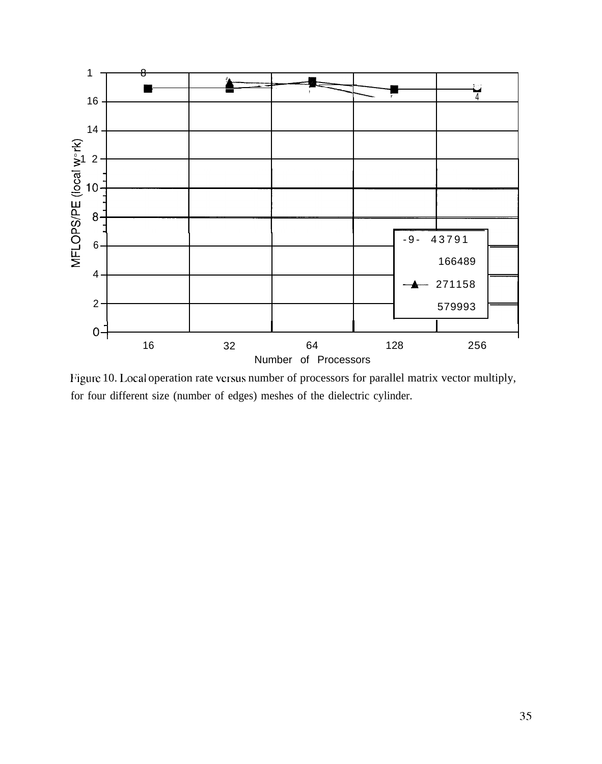

Figure 10. Local operation rate versus number of processors for parallel matrix vector multiply, for four different size (number of edges) meshes of the dielectric cylinder.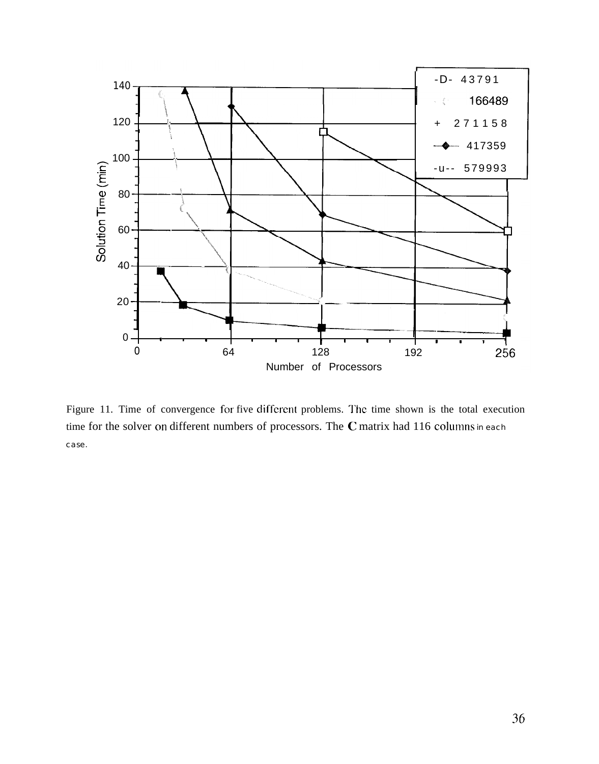

Figure 11. Time of convergence for five different problems. The time shown is the total execution time for the solver on different numbers of processors. The C matrix had 116 columns in each case.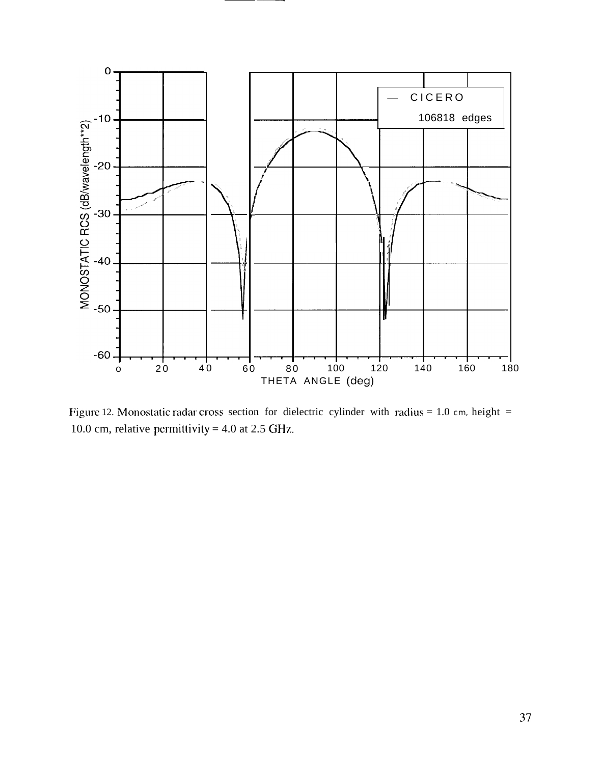

Figure 12. Monostatic radar cross section for dielectric cylinder with radius = 1.0 cm, height = 10.0 cm, relative permittivity =  $4.0$  at 2.5 GHz.